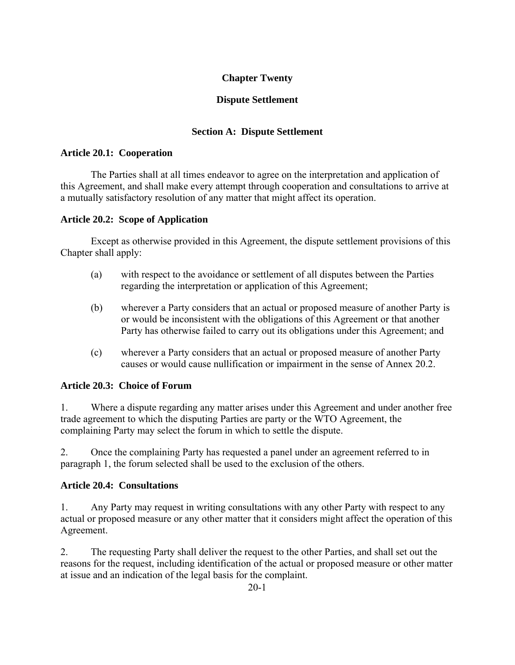# **Chapter Twenty**

### **Dispute Settlement**

### **Section A: Dispute Settlement**

#### **Article 20.1: Cooperation**

 The Parties shall at all times endeavor to agree on the interpretation and application of this Agreement, and shall make every attempt through cooperation and consultations to arrive at a mutually satisfactory resolution of any matter that might affect its operation.

#### **Article 20.2: Scope of Application**

 Except as otherwise provided in this Agreement, the dispute settlement provisions of this Chapter shall apply:

- (a) with respect to the avoidance or settlement of all disputes between the Parties regarding the interpretation or application of this Agreement;
- (b) wherever a Party considers that an actual or proposed measure of another Party is or would be inconsistent with the obligations of this Agreement or that another Party has otherwise failed to carry out its obligations under this Agreement; and
- (c) wherever a Party considers that an actual or proposed measure of another Party causes or would cause nullification or impairment in the sense of Annex 20.2.

### **Article 20.3: Choice of Forum**

1. Where a dispute regarding any matter arises under this Agreement and under another free trade agreement to which the disputing Parties are party or the WTO Agreement, the complaining Party may select the forum in which to settle the dispute.

2. Once the complaining Party has requested a panel under an agreement referred to in paragraph 1, the forum selected shall be used to the exclusion of the others.

### **Article 20.4: Consultations**

1. Any Party may request in writing consultations with any other Party with respect to any actual or proposed measure or any other matter that it considers might affect the operation of this Agreement.

2. The requesting Party shall deliver the request to the other Parties, and shall set out the reasons for the request, including identification of the actual or proposed measure or other matter at issue and an indication of the legal basis for the complaint.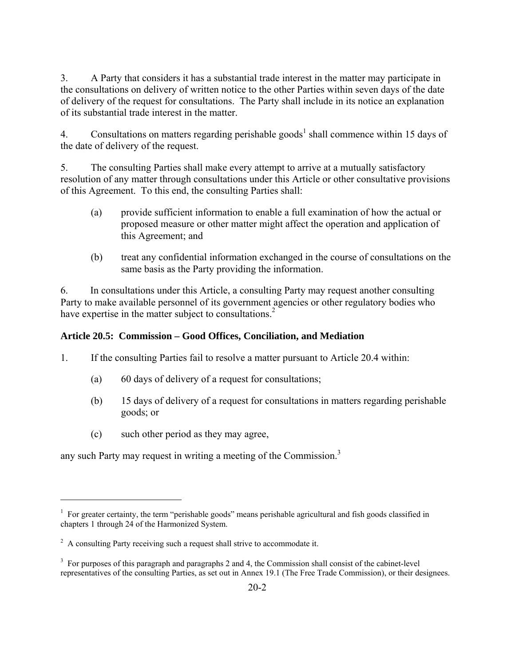3. A Party that considers it has a substantial trade interest in the matter may participate in the consultations on delivery of written notice to the other Parties within seven days of the date of delivery of the request for consultations. The Party shall include in its notice an explanation of its substantial trade interest in the matter.

4. Consultations on matters regarding perishable goods<sup>1</sup> shall commence within 15 days of the date of delivery of the request.

5. The consulting Parties shall make every attempt to arrive at a mutually satisfactory resolution of any matter through consultations under this Article or other consultative provisions of this Agreement. To this end, the consulting Parties shall:

- (a) provide sufficient information to enable a full examination of how the actual or proposed measure or other matter might affect the operation and application of this Agreement; and
- (b) treat any confidential information exchanged in the course of consultations on the same basis as the Party providing the information.

6. In consultations under this Article, a consulting Party may request another consulting Party to make available personnel of its government agencies or other regulatory bodies who have expertise in the matter subject to consultations. $\frac{2}{3}$ 

### **Article 20.5: Commission – Good Offices, Conciliation, and Mediation**

1. If the consulting Parties fail to resolve a matter pursuant to Article 20.4 within:

- (a) 60 days of delivery of a request for consultations;
- (b) 15 days of delivery of a request for consultations in matters regarding perishable goods; or
- (c) such other period as they may agree,

 $\overline{a}$ 

any such Party may request in writing a meeting of the Commission.<sup>3</sup>

<sup>&</sup>lt;sup>1</sup> For greater certainty, the term "perishable goods" means perishable agricultural and fish goods classified in chapters 1 through 24 of the Harmonized System.

 $2^2$  A consulting Party receiving such a request shall strive to accommodate it.

<sup>&</sup>lt;sup>3</sup> For purposes of this paragraph and paragraphs 2 and 4, the Commission shall consist of the cabinet-level representatives of the consulting Parties, as set out in Annex 19.1 (The Free Trade Commission), or their designees.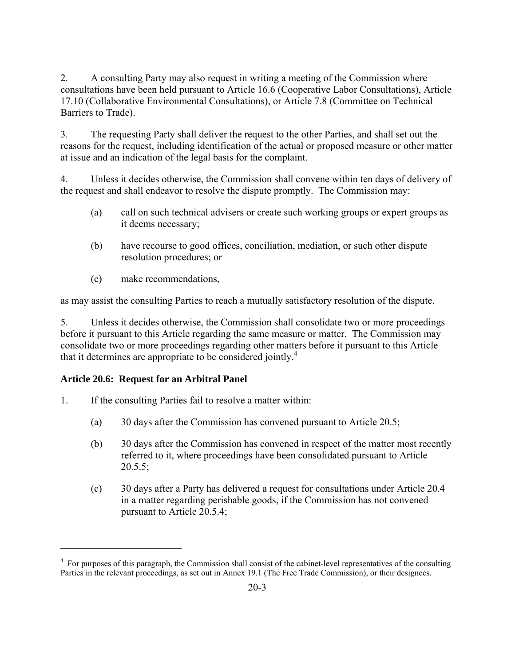2. A consulting Party may also request in writing a meeting of the Commission where consultations have been held pursuant to Article 16.6 (Cooperative Labor Consultations), Article 17.10 (Collaborative Environmental Consultations), or Article 7.8 (Committee on Technical Barriers to Trade).

3. The requesting Party shall deliver the request to the other Parties, and shall set out the reasons for the request, including identification of the actual or proposed measure or other matter at issue and an indication of the legal basis for the complaint.

4. Unless it decides otherwise, the Commission shall convene within ten days of delivery of the request and shall endeavor to resolve the dispute promptly. The Commission may:

- (a) call on such technical advisers or create such working groups or expert groups as it deems necessary;
- (b) have recourse to good offices, conciliation, mediation, or such other dispute resolution procedures; or
- (c) make recommendations,

as may assist the consulting Parties to reach a mutually satisfactory resolution of the dispute.

5. Unless it decides otherwise, the Commission shall consolidate two or more proceedings before it pursuant to this Article regarding the same measure or matter. The Commission may consolidate two or more proceedings regarding other matters before it pursuant to this Article that it determines are appropriate to be considered jointly.<sup>4</sup>

# **Article 20.6: Request for an Arbitral Panel**

 $\overline{a}$ 

- 1. If the consulting Parties fail to resolve a matter within:
	- (a) 30 days after the Commission has convened pursuant to Article 20.5;
	- (b) 30 days after the Commission has convened in respect of the matter most recently referred to it, where proceedings have been consolidated pursuant to Article  $20.5.5;$
	- (c) 30 days after a Party has delivered a request for consultations under Article 20.4 in a matter regarding perishable goods, if the Commission has not convened pursuant to Article 20.5.4;

<sup>&</sup>lt;sup>4</sup> For purposes of this paragraph, the Commission shall consist of the cabinet-level representatives of the consulting Parties in the relevant proceedings, as set out in Annex 19.1 (The Free Trade Commission), or their designees.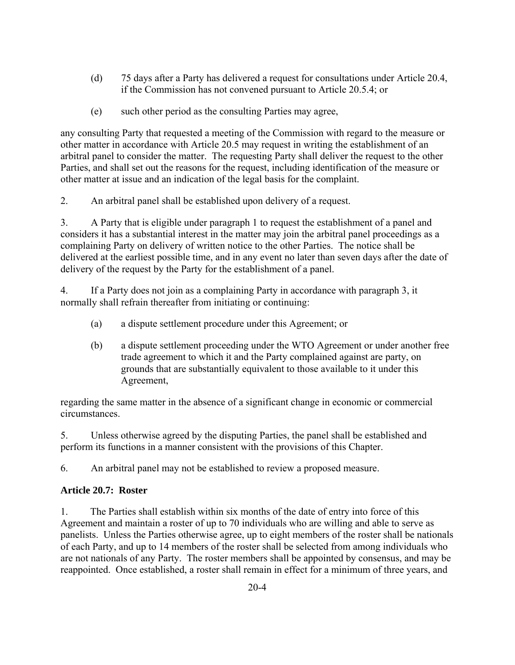- (d) 75 days after a Party has delivered a request for consultations under Article 20.4, if the Commission has not convened pursuant to Article 20.5.4; or
- (e) such other period as the consulting Parties may agree,

any consulting Party that requested a meeting of the Commission with regard to the measure or other matter in accordance with Article 20.5 may request in writing the establishment of an arbitral panel to consider the matter. The requesting Party shall deliver the request to the other Parties, and shall set out the reasons for the request, including identification of the measure or other matter at issue and an indication of the legal basis for the complaint.

2. An arbitral panel shall be established upon delivery of a request.

3. A Party that is eligible under paragraph 1 to request the establishment of a panel and considers it has a substantial interest in the matter may join the arbitral panel proceedings as a complaining Party on delivery of written notice to the other Parties. The notice shall be delivered at the earliest possible time, and in any event no later than seven days after the date of delivery of the request by the Party for the establishment of a panel.

4. If a Party does not join as a complaining Party in accordance with paragraph 3, it normally shall refrain thereafter from initiating or continuing:

- (a) a dispute settlement procedure under this Agreement; or
- (b) a dispute settlement proceeding under the WTO Agreement or under another free trade agreement to which it and the Party complained against are party, on grounds that are substantially equivalent to those available to it under this Agreement,

regarding the same matter in the absence of a significant change in economic or commercial circumstances.

5. Unless otherwise agreed by the disputing Parties, the panel shall be established and perform its functions in a manner consistent with the provisions of this Chapter.

6. An arbitral panel may not be established to review a proposed measure.

### **Article 20.7: Roster**

1. The Parties shall establish within six months of the date of entry into force of this Agreement and maintain a roster of up to 70 individuals who are willing and able to serve as panelists. Unless the Parties otherwise agree, up to eight members of the roster shall be nationals of each Party, and up to 14 members of the roster shall be selected from among individuals who are not nationals of any Party. The roster members shall be appointed by consensus, and may be reappointed. Once established, a roster shall remain in effect for a minimum of three years, and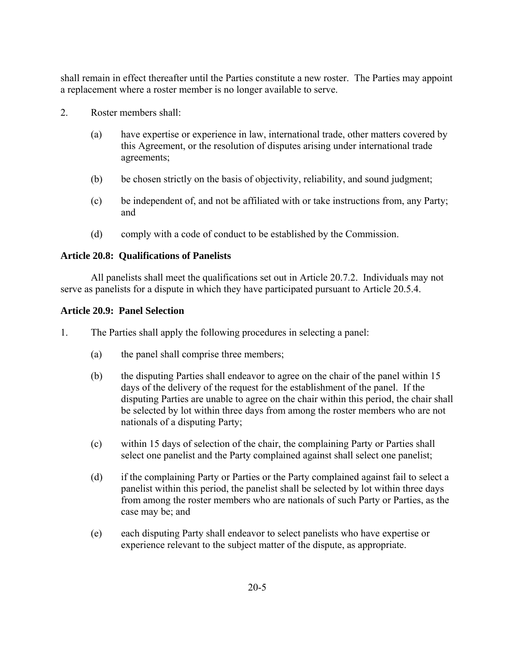shall remain in effect thereafter until the Parties constitute a new roster. The Parties may appoint a replacement where a roster member is no longer available to serve.

- 2. Roster members shall:
	- (a) have expertise or experience in law, international trade, other matters covered by this Agreement, or the resolution of disputes arising under international trade agreements;
	- (b) be chosen strictly on the basis of objectivity, reliability, and sound judgment;
	- (c) be independent of, and not be affiliated with or take instructions from, any Party; and
	- (d) comply with a code of conduct to be established by the Commission.

### **Article 20.8: Qualifications of Panelists**

 All panelists shall meet the qualifications set out in Article 20.7.2. Individuals may not serve as panelists for a dispute in which they have participated pursuant to Article 20.5.4.

#### **Article 20.9: Panel Selection**

1. The Parties shall apply the following procedures in selecting a panel:

- (a) the panel shall comprise three members;
- (b) the disputing Parties shall endeavor to agree on the chair of the panel within 15 days of the delivery of the request for the establishment of the panel. If the disputing Parties are unable to agree on the chair within this period, the chair shall be selected by lot within three days from among the roster members who are not nationals of a disputing Party;
- (c) within 15 days of selection of the chair, the complaining Party or Parties shall select one panelist and the Party complained against shall select one panelist;
- (d) if the complaining Party or Parties or the Party complained against fail to select a panelist within this period, the panelist shall be selected by lot within three days from among the roster members who are nationals of such Party or Parties, as the case may be; and
- (e) each disputing Party shall endeavor to select panelists who have expertise or experience relevant to the subject matter of the dispute, as appropriate.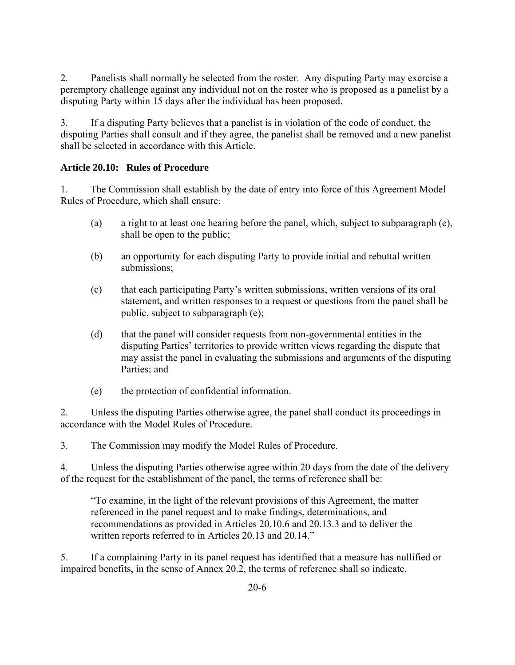2. Panelists shall normally be selected from the roster. Any disputing Party may exercise a peremptory challenge against any individual not on the roster who is proposed as a panelist by a disputing Party within 15 days after the individual has been proposed.

3. If a disputing Party believes that a panelist is in violation of the code of conduct, the disputing Parties shall consult and if they agree, the panelist shall be removed and a new panelist shall be selected in accordance with this Article.

# **Article 20.10: Rules of Procedure**

1. The Commission shall establish by the date of entry into force of this Agreement Model Rules of Procedure, which shall ensure:

- (a) a right to at least one hearing before the panel, which, subject to subparagraph (e), shall be open to the public;
- (b) an opportunity for each disputing Party to provide initial and rebuttal written submissions;
- (c) that each participating Party's written submissions, written versions of its oral statement, and written responses to a request or questions from the panel shall be public, subject to subparagraph (e);
- (d) that the panel will consider requests from non-governmental entities in the disputing Parties' territories to provide written views regarding the dispute that may assist the panel in evaluating the submissions and arguments of the disputing Parties; and
- (e) the protection of confidential information.

2. Unless the disputing Parties otherwise agree, the panel shall conduct its proceedings in accordance with the Model Rules of Procedure.

3. The Commission may modify the Model Rules of Procedure.

4. Unless the disputing Parties otherwise agree within 20 days from the date of the delivery of the request for the establishment of the panel, the terms of reference shall be:

"To examine, in the light of the relevant provisions of this Agreement, the matter referenced in the panel request and to make findings, determinations, and recommendations as provided in Articles 20.10.6 and 20.13.3 and to deliver the written reports referred to in Articles 20.13 and 20.14."

5. If a complaining Party in its panel request has identified that a measure has nullified or impaired benefits, in the sense of Annex 20.2, the terms of reference shall so indicate.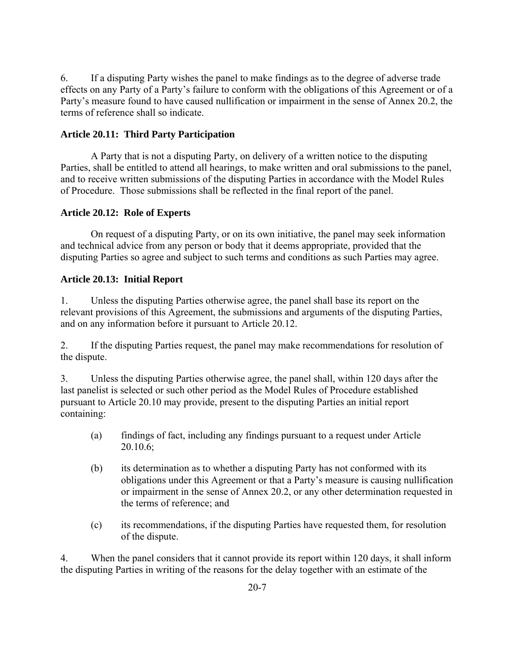6. If a disputing Party wishes the panel to make findings as to the degree of adverse trade effects on any Party of a Party's failure to conform with the obligations of this Agreement or of a Party's measure found to have caused nullification or impairment in the sense of Annex 20.2, the terms of reference shall so indicate.

### **Article 20.11: Third Party Participation**

A Party that is not a disputing Party, on delivery of a written notice to the disputing Parties, shall be entitled to attend all hearings, to make written and oral submissions to the panel, and to receive written submissions of the disputing Parties in accordance with the Model Rules of Procedure. Those submissions shall be reflected in the final report of the panel.

### **Article 20.12: Role of Experts**

 On request of a disputing Party, or on its own initiative, the panel may seek information and technical advice from any person or body that it deems appropriate, provided that the disputing Parties so agree and subject to such terms and conditions as such Parties may agree.

### **Article 20.13: Initial Report**

1. Unless the disputing Parties otherwise agree, the panel shall base its report on the relevant provisions of this Agreement, the submissions and arguments of the disputing Parties, and on any information before it pursuant to Article 20.12.

2. If the disputing Parties request, the panel may make recommendations for resolution of the dispute.

3. Unless the disputing Parties otherwise agree, the panel shall, within 120 days after the last panelist is selected or such other period as the Model Rules of Procedure established pursuant to Article 20.10 may provide, present to the disputing Parties an initial report containing:

- (a) findings of fact, including any findings pursuant to a request under Article 20.10.6;
- (b) its determination as to whether a disputing Party has not conformed with its obligations under this Agreement or that a Party's measure is causing nullification or impairment in the sense of Annex 20.2, or any other determination requested in the terms of reference; and
- (c) its recommendations, if the disputing Parties have requested them, for resolution of the dispute.

4. When the panel considers that it cannot provide its report within 120 days, it shall inform the disputing Parties in writing of the reasons for the delay together with an estimate of the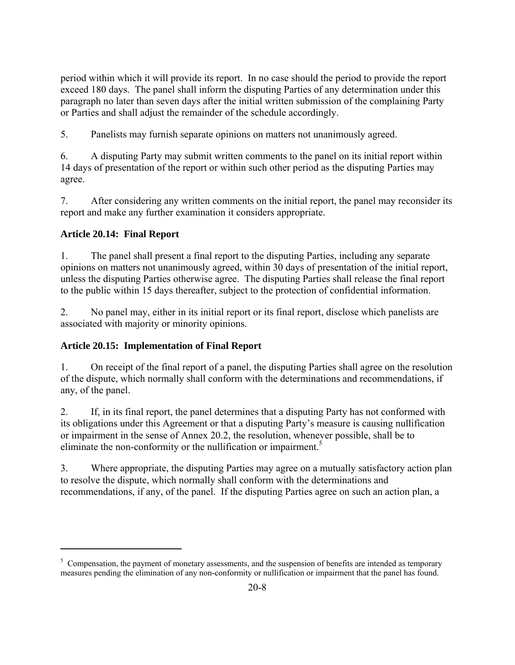period within which it will provide its report. In no case should the period to provide the report exceed 180 days. The panel shall inform the disputing Parties of any determination under this paragraph no later than seven days after the initial written submission of the complaining Party or Parties and shall adjust the remainder of the schedule accordingly.

5. Panelists may furnish separate opinions on matters not unanimously agreed.

6. A disputing Party may submit written comments to the panel on its initial report within 14 days of presentation of the report or within such other period as the disputing Parties may agree.

7. After considering any written comments on the initial report, the panel may reconsider its report and make any further examination it considers appropriate.

# **Article 20.14: Final Report**

 $\overline{a}$ 

1. The panel shall present a final report to the disputing Parties, including any separate opinions on matters not unanimously agreed, within 30 days of presentation of the initial report, unless the disputing Parties otherwise agree. The disputing Parties shall release the final report to the public within 15 days thereafter, subject to the protection of confidential information.

2. No panel may, either in its initial report or its final report, disclose which panelists are associated with majority or minority opinions.

# **Article 20.15: Implementation of Final Report**

1. On receipt of the final report of a panel, the disputing Parties shall agree on the resolution of the dispute, which normally shall conform with the determinations and recommendations, if any, of the panel.

2. If, in its final report, the panel determines that a disputing Party has not conformed with its obligations under this Agreement or that a disputing Party's measure is causing nullification or impairment in the sense of Annex 20.2, the resolution, whenever possible, shall be to eliminate the non-conformity or the nullification or impairment.<sup>5</sup>

3. Where appropriate, the disputing Parties may agree on a mutually satisfactory action plan to resolve the dispute, which normally shall conform with the determinations and recommendations, if any, of the panel. If the disputing Parties agree on such an action plan, a

<sup>&</sup>lt;sup>5</sup> Compensation, the payment of monetary assessments, and the suspension of benefits are intended as temporary measures pending the elimination of any non-conformity or nullification or impairment that the panel has found.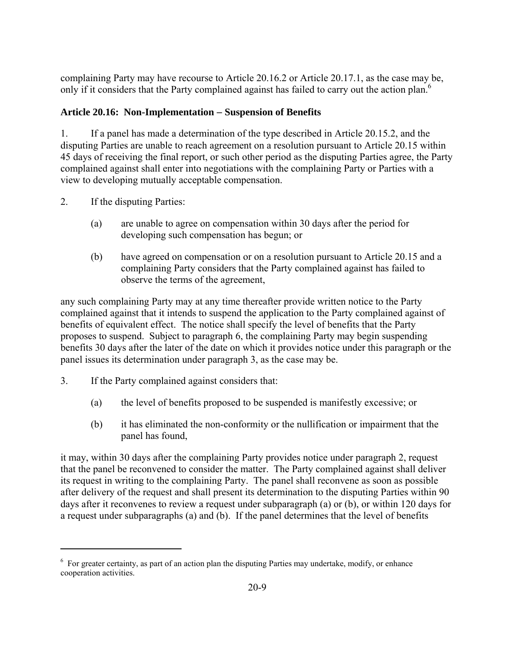complaining Party may have recourse to Article 20.16.2 or Article 20.17.1, as the case may be, only if it considers that the Party complained against has failed to carry out the action plan.<sup>6</sup>

### **Article 20.16: Non-Implementation** − **Suspension of Benefits**

1. If a panel has made a determination of the type described in Article 20.15.2, and the disputing Parties are unable to reach agreement on a resolution pursuant to Article 20.15 within 45 days of receiving the final report, or such other period as the disputing Parties agree, the Party complained against shall enter into negotiations with the complaining Party or Parties with a view to developing mutually acceptable compensation.

2. If the disputing Parties:

1

- (a) are unable to agree on compensation within 30 days after the period for developing such compensation has begun; or
- (b) have agreed on compensation or on a resolution pursuant to Article 20.15 and a complaining Party considers that the Party complained against has failed to observe the terms of the agreement,

any such complaining Party may at any time thereafter provide written notice to the Party complained against that it intends to suspend the application to the Party complained against of benefits of equivalent effect. The notice shall specify the level of benefits that the Party proposes to suspend. Subject to paragraph 6, the complaining Party may begin suspending benefits 30 days after the later of the date on which it provides notice under this paragraph or the panel issues its determination under paragraph 3, as the case may be.

- 3. If the Party complained against considers that:
	- (a) the level of benefits proposed to be suspended is manifestly excessive; or
	- (b) it has eliminated the non-conformity or the nullification or impairment that the panel has found,

it may, within 30 days after the complaining Party provides notice under paragraph 2, request that the panel be reconvened to consider the matter. The Party complained against shall deliver its request in writing to the complaining Party. The panel shall reconvene as soon as possible after delivery of the request and shall present its determination to the disputing Parties within 90 days after it reconvenes to review a request under subparagraph (a) or (b), or within 120 days for a request under subparagraphs (a) and (b). If the panel determines that the level of benefits

<sup>&</sup>lt;sup>6</sup> For greater certainty, as part of an action plan the disputing Parties may undertake, modify, or enhance cooperation activities.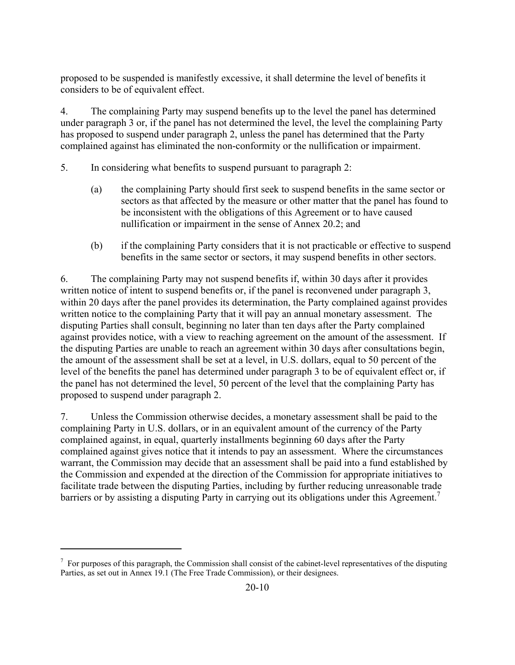proposed to be suspended is manifestly excessive, it shall determine the level of benefits it considers to be of equivalent effect.

4. The complaining Party may suspend benefits up to the level the panel has determined under paragraph 3 or, if the panel has not determined the level, the level the complaining Party has proposed to suspend under paragraph 2, unless the panel has determined that the Party complained against has eliminated the non-conformity or the nullification or impairment.

5. In considering what benefits to suspend pursuant to paragraph 2:

- (a) the complaining Party should first seek to suspend benefits in the same sector or sectors as that affected by the measure or other matter that the panel has found to be inconsistent with the obligations of this Agreement or to have caused nullification or impairment in the sense of Annex 20.2; and
- (b) if the complaining Party considers that it is not practicable or effective to suspend benefits in the same sector or sectors, it may suspend benefits in other sectors.

6. The complaining Party may not suspend benefits if, within 30 days after it provides written notice of intent to suspend benefits or, if the panel is reconvened under paragraph 3, within 20 days after the panel provides its determination, the Party complained against provides written notice to the complaining Party that it will pay an annual monetary assessment. The disputing Parties shall consult, beginning no later than ten days after the Party complained against provides notice, with a view to reaching agreement on the amount of the assessment. If the disputing Parties are unable to reach an agreement within 30 days after consultations begin, the amount of the assessment shall be set at a level, in U.S. dollars, equal to 50 percent of the level of the benefits the panel has determined under paragraph 3 to be of equivalent effect or, if the panel has not determined the level, 50 percent of the level that the complaining Party has proposed to suspend under paragraph 2.

7. Unless the Commission otherwise decides, a monetary assessment shall be paid to the complaining Party in U.S. dollars, or in an equivalent amount of the currency of the Party complained against, in equal, quarterly installments beginning 60 days after the Party complained against gives notice that it intends to pay an assessment. Where the circumstances warrant, the Commission may decide that an assessment shall be paid into a fund established by the Commission and expended at the direction of the Commission for appropriate initiatives to facilitate trade between the disputing Parties, including by further reducing unreasonable trade barriers or by assisting a disputing Party in carrying out its obligations under this Agreement.<sup>7</sup>

1

 $<sup>7</sup>$  For purposes of this paragraph, the Commission shall consist of the cabinet-level representatives of the disputing</sup> Parties, as set out in Annex 19.1 (The Free Trade Commission), or their designees.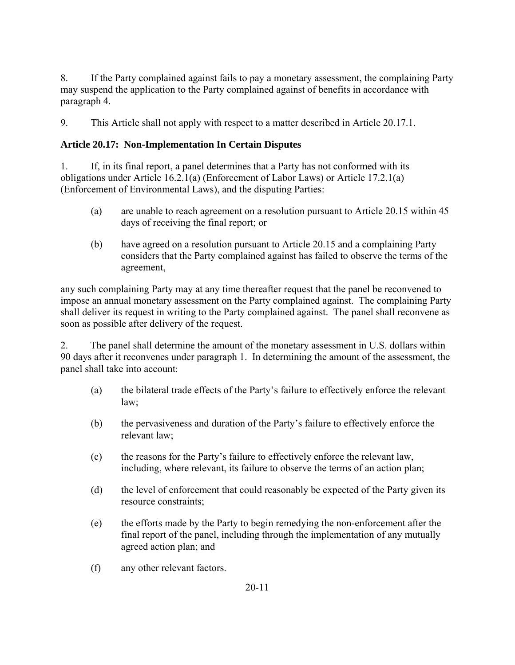8. If the Party complained against fails to pay a monetary assessment, the complaining Party may suspend the application to the Party complained against of benefits in accordance with paragraph 4.

9. This Article shall not apply with respect to a matter described in Article 20.17.1.

# **Article 20.17: Non-Implementation In Certain Disputes**

1. If, in its final report, a panel determines that a Party has not conformed with its obligations under Article 16.2.1(a) (Enforcement of Labor Laws) or Article 17.2.1(a) (Enforcement of Environmental Laws), and the disputing Parties:

- (a) are unable to reach agreement on a resolution pursuant to Article 20.15 within 45 days of receiving the final report; or
- (b) have agreed on a resolution pursuant to Article 20.15 and a complaining Party considers that the Party complained against has failed to observe the terms of the agreement,

any such complaining Party may at any time thereafter request that the panel be reconvened to impose an annual monetary assessment on the Party complained against. The complaining Party shall deliver its request in writing to the Party complained against. The panel shall reconvene as soon as possible after delivery of the request.

2. The panel shall determine the amount of the monetary assessment in U.S. dollars within 90 days after it reconvenes under paragraph 1. In determining the amount of the assessment, the panel shall take into account:

- (a) the bilateral trade effects of the Party's failure to effectively enforce the relevant law;
- (b) the pervasiveness and duration of the Party's failure to effectively enforce the relevant law;
- (c) the reasons for the Party's failure to effectively enforce the relevant law, including, where relevant, its failure to observe the terms of an action plan;
- (d) the level of enforcement that could reasonably be expected of the Party given its resource constraints;
- (e) the efforts made by the Party to begin remedying the non-enforcement after the final report of the panel, including through the implementation of any mutually agreed action plan; and
- (f) any other relevant factors.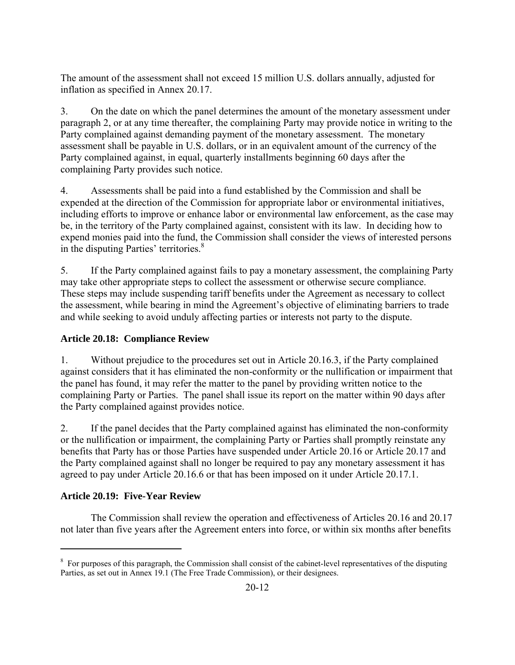The amount of the assessment shall not exceed 15 million U.S. dollars annually, adjusted for inflation as specified in Annex 20.17.

3. On the date on which the panel determines the amount of the monetary assessment under paragraph 2, or at any time thereafter, the complaining Party may provide notice in writing to the Party complained against demanding payment of the monetary assessment. The monetary assessment shall be payable in U.S. dollars, or in an equivalent amount of the currency of the Party complained against, in equal, quarterly installments beginning 60 days after the complaining Party provides such notice.

4. Assessments shall be paid into a fund established by the Commission and shall be expended at the direction of the Commission for appropriate labor or environmental initiatives, including efforts to improve or enhance labor or environmental law enforcement, as the case may be, in the territory of the Party complained against, consistent with its law. In deciding how to expend monies paid into the fund, the Commission shall consider the views of interested persons in the disputing Parties' territories.<sup>8</sup>

5. If the Party complained against fails to pay a monetary assessment, the complaining Party may take other appropriate steps to collect the assessment or otherwise secure compliance. These steps may include suspending tariff benefits under the Agreement as necessary to collect the assessment, while bearing in mind the Agreement's objective of eliminating barriers to trade and while seeking to avoid unduly affecting parties or interests not party to the dispute.

# **Article 20.18: Compliance Review**

1. Without prejudice to the procedures set out in Article 20.16.3, if the Party complained against considers that it has eliminated the non-conformity or the nullification or impairment that the panel has found, it may refer the matter to the panel by providing written notice to the complaining Party or Parties. The panel shall issue its report on the matter within 90 days after the Party complained against provides notice.

2. If the panel decides that the Party complained against has eliminated the non-conformity or the nullification or impairment, the complaining Party or Parties shall promptly reinstate any benefits that Party has or those Parties have suspended under Article 20.16 or Article 20.17 and the Party complained against shall no longer be required to pay any monetary assessment it has agreed to pay under Article 20.16.6 or that has been imposed on it under Article 20.17.1.

# **Article 20.19: Five-Year Review**

1

 The Commission shall review the operation and effectiveness of Articles 20.16 and 20.17 not later than five years after the Agreement enters into force, or within six months after benefits

<sup>&</sup>lt;sup>8</sup> For purposes of this paragraph, the Commission shall consist of the cabinet-level representatives of the disputing Parties, as set out in Annex 19.1 (The Free Trade Commission), or their designees.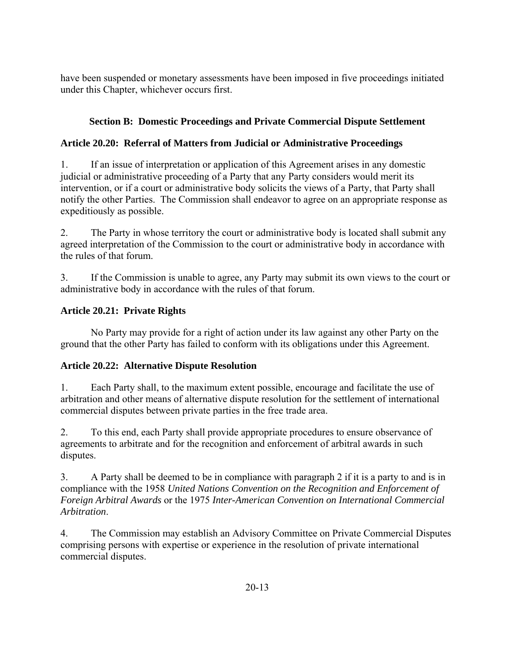have been suspended or monetary assessments have been imposed in five proceedings initiated under this Chapter, whichever occurs first.

# **Section B: Domestic Proceedings and Private Commercial Dispute Settlement**

# **Article 20.20: Referral of Matters from Judicial or Administrative Proceedings**

1. If an issue of interpretation or application of this Agreement arises in any domestic judicial or administrative proceeding of a Party that any Party considers would merit its intervention, or if a court or administrative body solicits the views of a Party, that Party shall notify the other Parties. The Commission shall endeavor to agree on an appropriate response as expeditiously as possible.

2. The Party in whose territory the court or administrative body is located shall submit any agreed interpretation of the Commission to the court or administrative body in accordance with the rules of that forum.

3. If the Commission is unable to agree, any Party may submit its own views to the court or administrative body in accordance with the rules of that forum.

# **Article 20.21: Private Rights**

 No Party may provide for a right of action under its law against any other Party on the ground that the other Party has failed to conform with its obligations under this Agreement.

# **Article 20.22: Alternative Dispute Resolution**

1. Each Party shall, to the maximum extent possible, encourage and facilitate the use of arbitration and other means of alternative dispute resolution for the settlement of international commercial disputes between private parties in the free trade area.

2. To this end, each Party shall provide appropriate procedures to ensure observance of agreements to arbitrate and for the recognition and enforcement of arbitral awards in such disputes.

3. A Party shall be deemed to be in compliance with paragraph 2 if it is a party to and is in compliance with the 1958 *United Nations Convention on the Recognition and Enforcement of Foreign Arbitral Awards* or the 1975 *Inter-American Convention on International Commercial Arbitration*.

4. The Commission may establish an Advisory Committee on Private Commercial Disputes comprising persons with expertise or experience in the resolution of private international commercial disputes.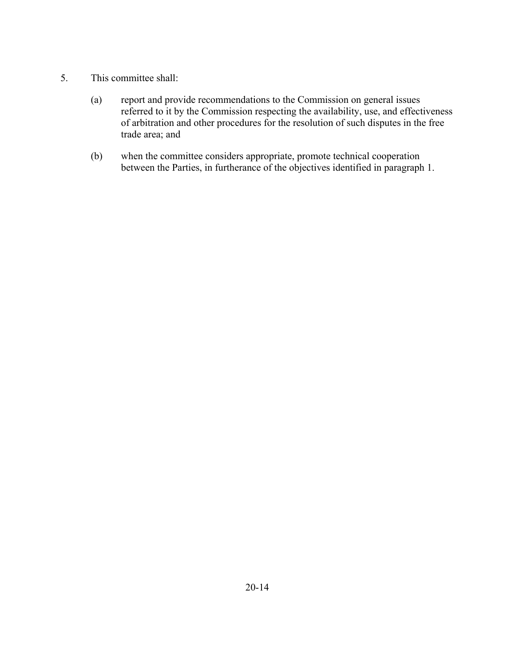- 5. This committee shall:
	- (a) report and provide recommendations to the Commission on general issues referred to it by the Commission respecting the availability, use, and effectiveness of arbitration and other procedures for the resolution of such disputes in the free trade area; and
	- (b) when the committee considers appropriate, promote technical cooperation between the Parties, in furtherance of the objectives identified in paragraph 1.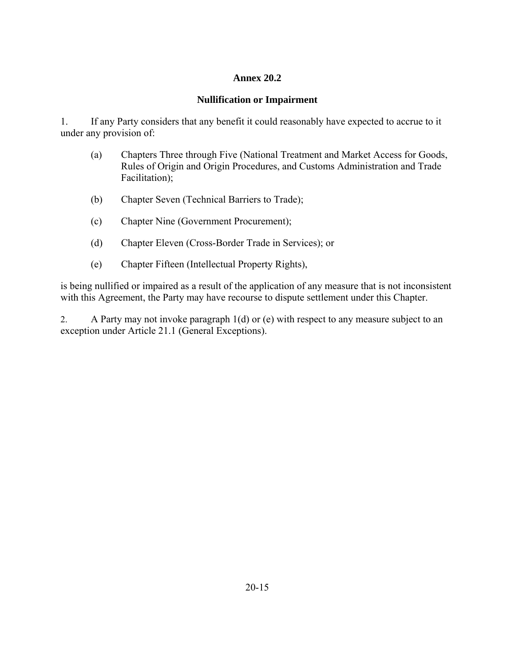### **Annex 20.2**

### **Nullification or Impairment**

1. If any Party considers that any benefit it could reasonably have expected to accrue to it under any provision of:

- (a) Chapters Three through Five (National Treatment and Market Access for Goods, Rules of Origin and Origin Procedures, and Customs Administration and Trade Facilitation);
- (b) Chapter Seven (Technical Barriers to Trade);
- (c) Chapter Nine (Government Procurement);
- (d) Chapter Eleven (Cross-Border Trade in Services); or
- (e) Chapter Fifteen (Intellectual Property Rights),

is being nullified or impaired as a result of the application of any measure that is not inconsistent with this Agreement, the Party may have recourse to dispute settlement under this Chapter.

2. A Party may not invoke paragraph 1(d) or (e) with respect to any measure subject to an exception under Article 21.1 (General Exceptions).